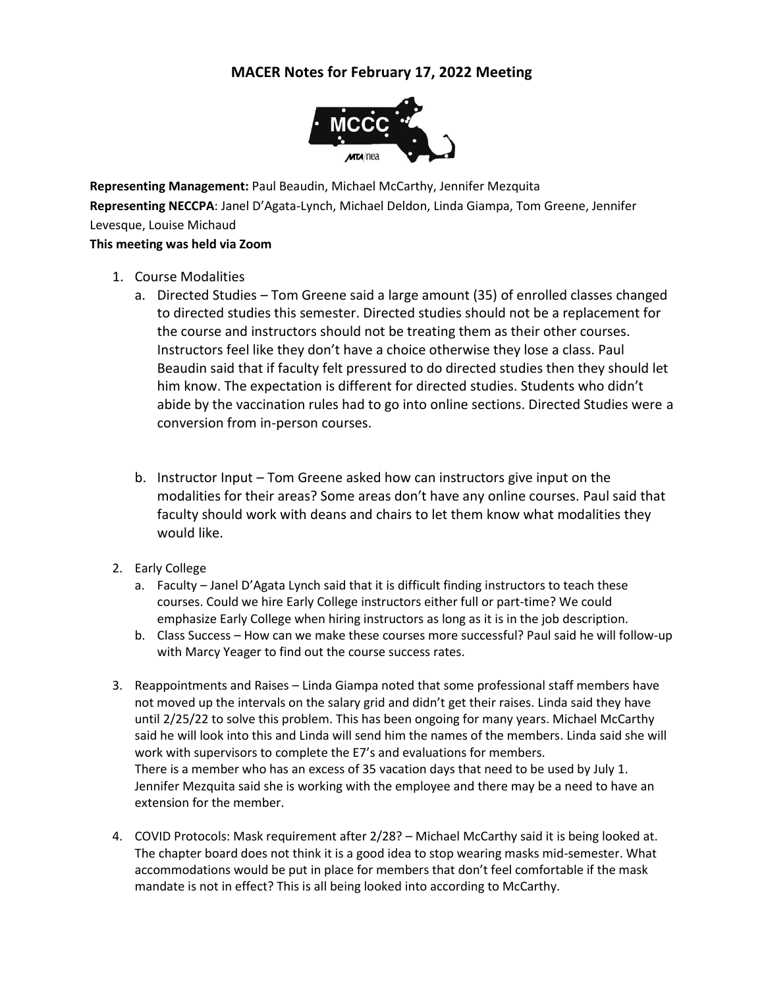## **MACER Notes for February 17, 2022 Meeting**



**Representing Management:** Paul Beaudin, Michael McCarthy, Jennifer Mezquita **Representing NECCPA**: Janel D'Agata-Lynch, Michael Deldon, Linda Giampa, Tom Greene, Jennifer Levesque, Louise Michaud

## **This meeting was held via Zoom**

- 1. Course Modalities
	- a. Directed Studies Tom Greene said a large amount (35) of enrolled classes changed to directed studies this semester. Directed studies should not be a replacement for the course and instructors should not be treating them as their other courses. Instructors feel like they don't have a choice otherwise they lose a class. Paul Beaudin said that if faculty felt pressured to do directed studies then they should let him know. The expectation is different for directed studies. Students who didn't abide by the vaccination rules had to go into online sections. Directed Studies were a conversion from in-person courses.
	- b. Instructor Input Tom Greene asked how can instructors give input on the modalities for their areas? Some areas don't have any online courses. Paul said that faculty should work with deans and chairs to let them know what modalities they would like.
- 2. Early College
	- a. Faculty Janel D'Agata Lynch said that it is difficult finding instructors to teach these courses. Could we hire Early College instructors either full or part-time? We could emphasize Early College when hiring instructors as long as it is in the job description.
	- b. Class Success How can we make these courses more successful? Paul said he will follow-up with Marcy Yeager to find out the course success rates.
- 3. Reappointments and Raises Linda Giampa noted that some professional staff members have not moved up the intervals on the salary grid and didn't get their raises. Linda said they have until 2/25/22 to solve this problem. This has been ongoing for many years. Michael McCarthy said he will look into this and Linda will send him the names of the members. Linda said she will work with supervisors to complete the E7's and evaluations for members. There is a member who has an excess of 35 vacation days that need to be used by July 1. Jennifer Mezquita said she is working with the employee and there may be a need to have an extension for the member.
- 4. COVID Protocols: Mask requirement after 2/28? Michael McCarthy said it is being looked at. The chapter board does not think it is a good idea to stop wearing masks mid-semester. What accommodations would be put in place for members that don't feel comfortable if the mask mandate is not in effect? This is all being looked into according to McCarthy.